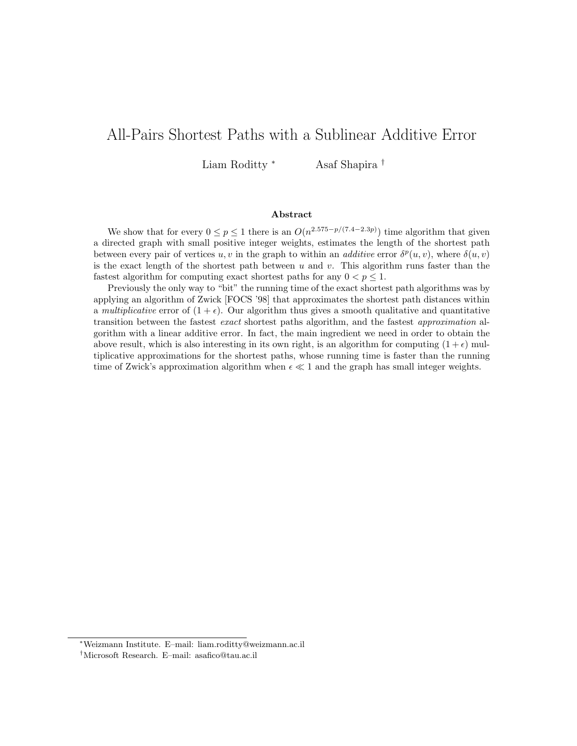# All-Pairs Shortest Paths with a Sublinear Additive Error

Liam Roditty <sup>∗</sup> Asaf Shapira †

#### Abstract

We show that for every  $0 \le p \le 1$  there is an  $O(n^{2.575-p/(7.4-2.3p)})$  time algorithm that given a directed graph with small positive integer weights, estimates the length of the shortest path between every pair of vertices u, v in the graph to within an *additive* error  $\delta^p(u, v)$ , where  $\delta(u, v)$ is the exact length of the shortest path between u and v. This algorithm runs faster than the fastest algorithm for computing exact shortest paths for any  $0 < p \leq 1$ .

Previously the only way to "bit" the running time of the exact shortest path algorithms was by applying an algorithm of Zwick [FOCS '98] that approximates the shortest path distances within a multiplicative error of  $(1 + \epsilon)$ . Our algorithm thus gives a smooth qualitative and quantitative transition between the fastest exact shortest paths algorithm, and the fastest approximation algorithm with a linear additive error. In fact, the main ingredient we need in order to obtain the above result, which is also interesting in its own right, is an algorithm for computing  $(1 + \epsilon)$  multiplicative approximations for the shortest paths, whose running time is faster than the running time of Zwick's approximation algorithm when  $\epsilon \ll 1$  and the graph has small integer weights.

<sup>∗</sup>Weizmann Institute. E–mail: liam.roditty@weizmann.ac.il

<sup>†</sup>Microsoft Research. E–mail: asafico@tau.ac.il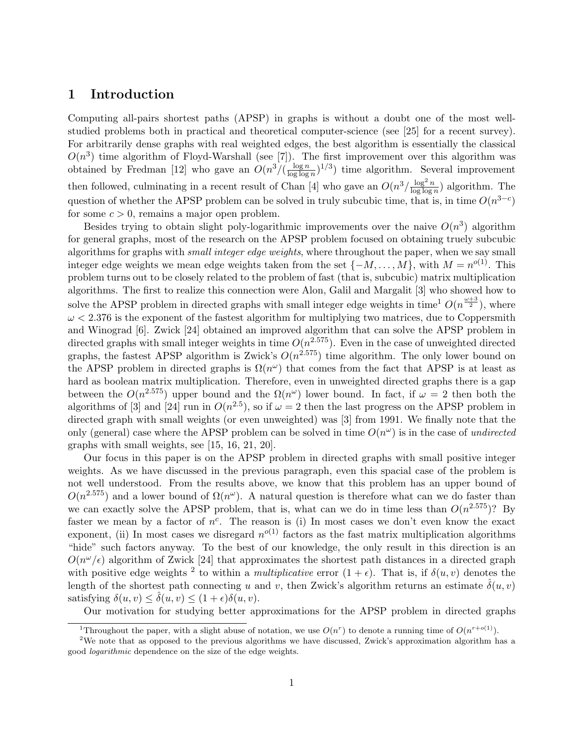### 1 Introduction

Computing all-pairs shortest paths (APSP) in graphs is without a doubt one of the most wellstudied problems both in practical and theoretical computer-science (see [25] for a recent survey). For arbitrarily dense graphs with real weighted edges, the best algorithm is essentially the classical  $O(n^3)$  time algorithm of Floyd-Warshall (see [7]). The first improvement over this algorithm was obtained by Fredman [12] who gave an  $O(n^3/(\frac{\log n}{\log \log n}))$  $\frac{\log n}{\log \log n}$ <sup>1/3</sup>) time algorithm. Several improvement then followed, culminating in a recent result of Chan [4] who gave an  $O(n^3/\frac{\log^2 n}{\log \log n})$  $\frac{\log^2 n}{\log \log n}$  algorithm. The question of whether the APSP problem can be solved in truly subcubic time, that is, in time  $O(n^{3-c})$ for some  $c > 0$ , remains a major open problem.

Besides trying to obtain slight poly-logarithmic improvements over the naive  $O(n^3)$  algorithm for general graphs, most of the research on the APSP problem focused on obtaining truely subcubic algorithms for graphs with *small integer edge weights*, where throughout the paper, when we say small integer edge weights we mean edge weights taken from the set  $\{-M, \ldots, M\}$ , with  $M = n^{o(1)}$ . This problem turns out to be closely related to the problem of fast (that is, subcubic) matrix multiplication algorithms. The first to realize this connection were Alon, Galil and Margalit [3] who showed how to solve the APSP problem in directed graphs with small integer edge weights in time<sup>1</sup>  $O(n^{\frac{\omega+3}{2}})$ , where  $\omega < 2.376$  is the exponent of the fastest algorithm for multiplying two matrices, due to Coppersmith and Winograd [6]. Zwick [24] obtained an improved algorithm that can solve the APSP problem in directed graphs with small integer weights in time  $O(n^{2.575})$ . Even in the case of unweighted directed graphs, the fastest APSP algorithm is Zwick's  $O(n^{2.575})$  time algorithm. The only lower bound on the APSP problem in directed graphs is  $\Omega(n^{\omega})$  that comes from the fact that APSP is at least as hard as boolean matrix multiplication. Therefore, even in unweighted directed graphs there is a gap between the  $O(n^{2.575})$  upper bound and the  $\Omega(n^{\omega})$  lower bound. In fact, if  $\omega = 2$  then both the algorithms of [3] and [24] run in  $O(n^{2.5})$ , so if  $\omega = 2$  then the last progress on the APSP problem in directed graph with small weights (or even unweighted) was [3] from 1991. We finally note that the only (general) case where the APSP problem can be solved in time  $O(n^{\omega})$  is in the case of undirected graphs with small weights, see [15, 16, 21, 20].

Our focus in this paper is on the APSP problem in directed graphs with small positive integer weights. As we have discussed in the previous paragraph, even this spacial case of the problem is not well understood. From the results above, we know that this problem has an upper bound of  $O(n^{2.575})$  and a lower bound of  $\Omega(n^{\omega})$ . A natural question is therefore what can we do faster than we can exactly solve the APSP problem, that is, what can we do in time less than  $O(n^{2.575})$ ? By faster we mean by a factor of  $n^c$ . The reason is (i) In most cases we don't even know the exact exponent, (ii) In most cases we disregard  $n^{o(1)}$  factors as the fast matrix multiplication algorithms "hide" such factors anyway. To the best of our knowledge, the only result in this direction is an  $O(n^{\omega}/\epsilon)$  algorithm of Zwick [24] that approximates the shortest path distances in a directed graph with positive edge weights <sup>2</sup> to within a *multiplicative* error  $(1 + \epsilon)$ . That is, if  $\delta(u, v)$  denotes the length of the shortest path connecting u and v, then Zwick's algorithm returns an estimate  $\hat{\delta}(u, v)$ satisfying  $\delta(u, v) \leq \hat{\delta}(u, v) \leq (1 + \epsilon)\delta(u, v)$ .

Our motivation for studying better approximations for the APSP problem in directed graphs

<sup>&</sup>lt;sup>1</sup>Throughout the paper, with a slight abuse of notation, we use  $O(n^r)$  to denote a running time of  $O(n^{r+o(1)})$ .

<sup>&</sup>lt;sup>2</sup>We note that as opposed to the previous algorithms we have discussed, Zwick's approximation algorithm has a good logarithmic dependence on the size of the edge weights.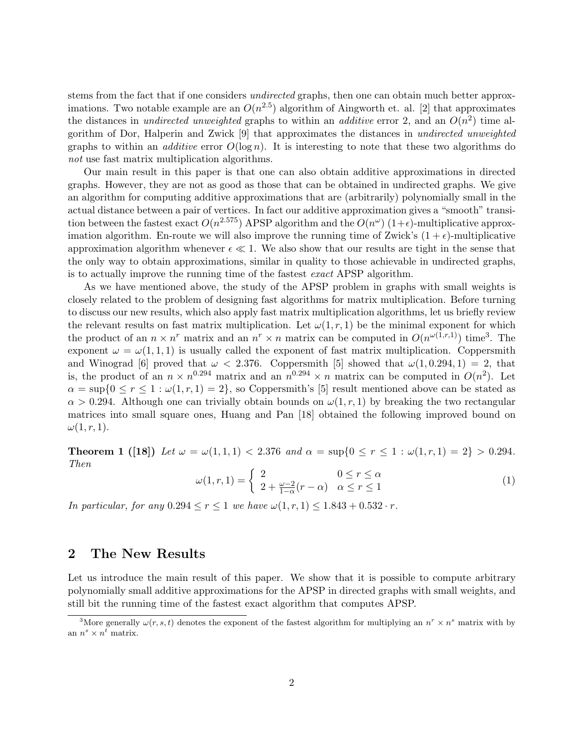stems from the fact that if one considers *undirected* graphs, then one can obtain much better approximations. Two notable example are an  $O(n^{2.5})$  algorithm of Aingworth et. al. [2] that approximates the distances in *undirected unweighted* graphs to within an *additive* error 2, and an  $O(n^2)$  time algorithm of Dor, Halperin and Zwick [9] that approximates the distances in undirected unweighted graphs to within an *additive* error  $O(\log n)$ . It is interesting to note that these two algorithms do not use fast matrix multiplication algorithms.

Our main result in this paper is that one can also obtain additive approximations in directed graphs. However, they are not as good as those that can be obtained in undirected graphs. We give an algorithm for computing additive approximations that are (arbitrarily) polynomially small in the actual distance between a pair of vertices. In fact our additive approximation gives a "smooth" transition between the fastest exact  $O(n^{2.575})$  APSP algorithm and the  $O(n^{\omega})$  (1+ $\epsilon$ )-multiplicative approximation algorithm. En-route we will also improve the running time of Zwick's  $(1 + \epsilon)$ -multiplicative approximation algorithm whenever  $\epsilon \ll 1$ . We also show that our results are tight in the sense that the only way to obtain approximations, similar in quality to those achievable in undirected graphs, is to actually improve the running time of the fastest exact APSP algorithm.

As we have mentioned above, the study of the APSP problem in graphs with small weights is closely related to the problem of designing fast algorithms for matrix multiplication. Before turning to discuss our new results, which also apply fast matrix multiplication algorithms, let us briefly review the relevant results on fast matrix multiplication. Let  $\omega(1,r,1)$  be the minimal exponent for which the product of an  $n \times n^r$  matrix and an  $n^r \times n$  matrix can be computed in  $O(n^{\omega(1,r,1)})$  time<sup>3</sup>. The exponent  $\omega = \omega(1, 1, 1)$  is usually called the exponent of fast matrix multiplication. Coppersmith and Winograd [6] proved that  $\omega < 2.376$ . Coppersmith [5] showed that  $\omega(1, 0.294, 1) = 2$ , that is, the product of an  $n \times n^{0.294}$  matrix and an  $n^{0.294} \times n$  matrix can be computed in  $O(n^2)$ . Let  $\alpha = \sup\{0 \le r \le 1 : \omega(1, r, 1) = 2\}$ , so Coppersmith's [5] result mentioned above can be stated as  $\alpha > 0.294$ . Although one can trivially obtain bounds on  $\omega(1, r, 1)$  by breaking the two rectangular matrices into small square ones, Huang and Pan [18] obtained the following improved bound on  $\omega(1, r, 1).$ 

**Theorem 1** ([18]) Let  $\omega = \omega(1, 1, 1) < 2.376$  and  $\alpha = \sup\{0 \le r \le 1 : \omega(1, r, 1) = 2\} > 0.294$ . Then

$$
\omega(1,r,1) = \begin{cases} 2 & 0 \le r \le \alpha \\ 2 + \frac{\omega - 2}{1 - \alpha}(r - \alpha) & \alpha \le r \le 1 \end{cases}
$$
 (1)

In particular, for any  $0.294 \le r \le 1$  we have  $\omega(1, r, 1) \le 1.843 + 0.532 \cdot r$ .

## 2 The New Results

Let us introduce the main result of this paper. We show that it is possible to compute arbitrary polynomially small additive approximations for the APSP in directed graphs with small weights, and still bit the running time of the fastest exact algorithm that computes APSP.

<sup>&</sup>lt;sup>3</sup>More generally  $\omega(r, s, t)$  denotes the exponent of the fastest algorithm for multiplying an  $n^r \times n^s$  matrix with by an  $n^s \times n^t$  matrix.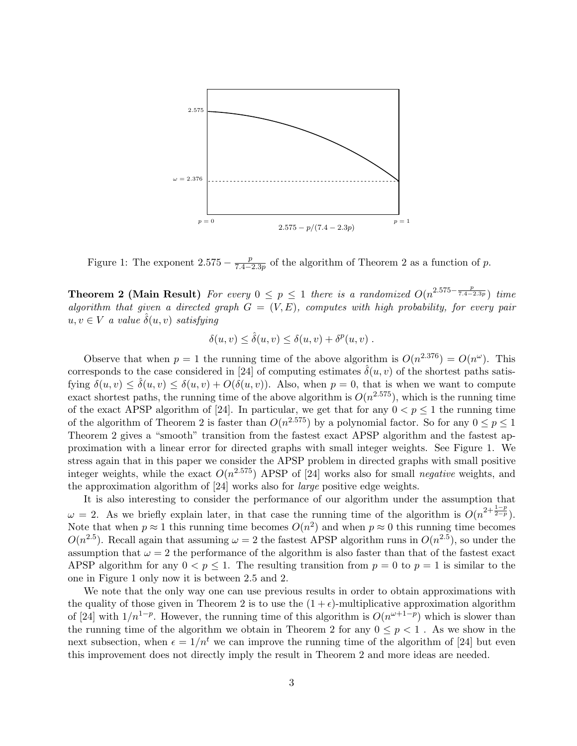

Figure 1: The exponent  $2.575 - \frac{p}{74}$  $\frac{p}{7.4-2.3p}$  of the algorithm of Theorem 2 as a function of p.

**Theorem 2 (Main Result)** For every  $0 \le p \le 1$  there is a randomized  $O(n^{2.575-\frac{p}{7.4-2.3p}})$  time algorithm that given a directed graph  $G = (V, E)$ , computes with high probability, for every pair  $u, v \in V$  a value  $\hat{\delta}(u, v)$  satisfying

$$
\delta(u, v) \leq \hat{\delta}(u, v) \leq \delta(u, v) + \delta^{p}(u, v) .
$$

Observe that when  $p = 1$  the running time of the above algorithm is  $O(n^{2.376}) = O(n^{\omega})$ . This corresponds to the case considered in [24] of computing estimates  $\hat{\delta}(u, v)$  of the shortest paths satisfying  $\delta(u, v) \leq \hat{\delta}(u, v) \leq \delta(u, v) + O(\delta(u, v))$ . Also, when  $p = 0$ , that is when we want to compute exact shortest paths, the running time of the above algorithm is  $O(n^{2.575})$ , which is the running time of the exact APSP algorithm of [24]. In particular, we get that for any  $0 < p \le 1$  the running time of the algorithm of Theorem 2 is faster than  $O(n^{2.575})$  by a polynomial factor. So for any  $0 \le p \le 1$ Theorem 2 gives a "smooth" transition from the fastest exact APSP algorithm and the fastest approximation with a linear error for directed graphs with small integer weights. See Figure 1. We stress again that in this paper we consider the APSP problem in directed graphs with small positive integer weights, while the exact  $O(n^{2.575})$  APSP of [24] works also for small negative weights, and the approximation algorithm of [24] works also for large positive edge weights.

It is also interesting to consider the performance of our algorithm under the assumption that  $\omega = 2$ . As we briefly explain later, in that case the running time of the algorithm is  $O(n^{2+\frac{1-p}{2-p}})$ . Note that when  $p \approx 1$  this running time becomes  $O(n^2)$  and when  $p \approx 0$  this running time becomes  $O(n^{2.5})$ . Recall again that assuming  $\omega = 2$  the fastest APSP algorithm runs in  $O(n^{2.5})$ , so under the assumption that  $\omega = 2$  the performance of the algorithm is also faster than that of the fastest exact APSP algorithm for any  $0 < p \le 1$ . The resulting transition from  $p = 0$  to  $p = 1$  is similar to the one in Figure 1 only now it is between 2.5 and 2.

We note that the only way one can use previous results in order to obtain approximations with the quality of those given in Theorem 2 is to use the  $(1 + \epsilon)$ -multiplicative approximation algorithm of [24] with  $1/n^{1-p}$ . However, the running time of this algorithm is  $O(n^{\omega+1-p})$  which is slower than the running time of the algorithm we obtain in Theorem 2 for any  $0 \leq p \leq 1$ . As we show in the next subsection, when  $\epsilon = 1/n^t$  we can improve the running time of the algorithm of [24] but even this improvement does not directly imply the result in Theorem 2 and more ideas are needed.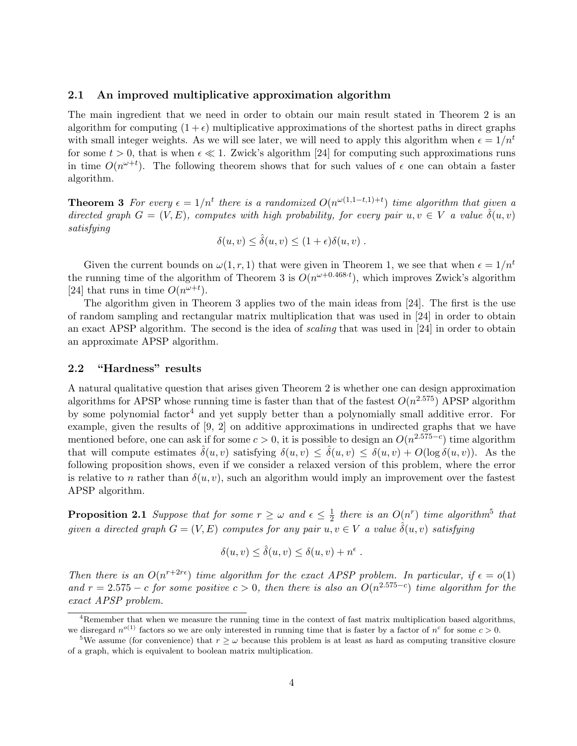#### 2.1 An improved multiplicative approximation algorithm

The main ingredient that we need in order to obtain our main result stated in Theorem 2 is an algorithm for computing  $(1 + \epsilon)$  multiplicative approximations of the shortest paths in direct graphs with small integer weights. As we will see later, we will need to apply this algorithm when  $\epsilon = 1/n^t$ for some  $t > 0$ , that is when  $\epsilon \ll 1$ . Zwick's algorithm [24] for computing such approximations runs in time  $O(n^{\omega+t})$ . The following theorem shows that for such values of  $\epsilon$  one can obtain a faster algorithm.

**Theorem 3** For every  $\epsilon = 1/n^t$  there is a randomized  $O(n^{\omega(1,1-t,1)+t})$  time algorithm that given a directed graph  $G = (V, E)$ , computes with high probability, for every pair  $u, v \in V$  a value  $\hat{\delta}(u, v)$ satisfying

$$
\delta(u, v) \leq \hat{\delta}(u, v) \leq (1 + \epsilon)\delta(u, v) .
$$

Given the current bounds on  $\omega(1, r, 1)$  that were given in Theorem 1, we see that when  $\epsilon = 1/n^t$ the running time of the algorithm of Theorem 3 is  $O(n^{\omega+0.468 \cdot t})$ , which improves Zwick's algorithm [24] that runs in time  $O(n^{\omega+t})$ .

The algorithm given in Theorem 3 applies two of the main ideas from [24]. The first is the use of random sampling and rectangular matrix multiplication that was used in [24] in order to obtain an exact APSP algorithm. The second is the idea of scaling that was used in [24] in order to obtain an approximate APSP algorithm.

### 2.2 "Hardness" results

A natural qualitative question that arises given Theorem 2 is whether one can design approximation algorithms for APSP whose running time is faster than that of the fastest  $O(n^{2.575})$  APSP algorithm by some polynomial factor<sup>4</sup> and yet supply better than a polynomially small additive error. For example, given the results of [9, 2] on additive approximations in undirected graphs that we have mentioned before, one can ask if for some  $c > 0$ , it is possible to design an  $O(n^{2.575-c})$  time algorithm that will compute estimates  $\hat{\delta}(u, v)$  satisfying  $\delta(u, v) \leq \hat{\delta}(u, v) \leq \delta(u, v) + O(\log \delta(u, v))$ . As the following proposition shows, even if we consider a relaxed version of this problem, where the error is relative to n rather than  $\delta(u, v)$ , such an algorithm would imply an improvement over the fastest APSP algorithm.

**Proposition 2.1** Suppose that for some  $r \geq \omega$  and  $\epsilon \leq \frac{1}{2}$  $\frac{1}{2}$  there is an  $O(n^r)$  time algorithm<sup>5</sup> that given a directed graph  $G = (V, E)$  computes for any pair  $u, v \in V$  a value  $\hat{\delta}(u, v)$  satisfying

$$
\delta(u, v) \leq \hat{\delta}(u, v) \leq \delta(u, v) + n^{\epsilon}.
$$

Then there is an  $O(n^{r+2r\epsilon})$  time algorithm for the exact APSP problem. In particular, if  $\epsilon = o(1)$ and  $r = 2.575 - c$  for some positive  $c > 0$ , then there is also an  $O(n^{2.575-c})$  time algorithm for the exact APSP problem.

 $4R$ emember that when we measure the running time in the context of fast matrix multiplication based algorithms, we disregard  $n^{o(1)}$  factors so we are only interested in running time that is faster by a factor of  $n^c$  for some  $c > 0$ .

<sup>&</sup>lt;sup>5</sup>We assume (for convenience) that  $r \geq \omega$  because this problem is at least as hard as computing transitive closure of a graph, which is equivalent to boolean matrix multiplication.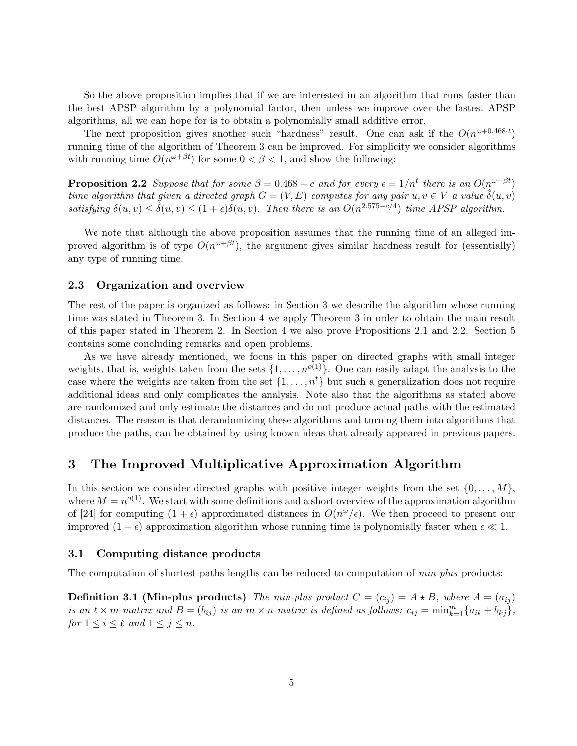So the above proposition implies that if we are interested in an algorithm that runs faster than the best APSP algorithm by a polynomial factor, then unless we improve over the fastest APSP algorithms, all we can hope for is to obtain a polynomially small additive error.

The next proposition gives another such "hardness" result. One can ask if the  $O(n^{\omega+0.468 \cdot t})$ running time of the algorithm of Theorem 3 can be improved. For simplicity we consider algorithms with running time  $O(n^{\omega+\beta t})$  for some  $0 < \beta < 1$ , and show the following:

**Proposition 2.2** Suppose that for some  $\beta = 0.468 - c$  and for every  $\epsilon = 1/n^t$  there is an  $O(n^{\omega + \beta t})$ time algorithm that given a directed graph  $G = (V, E)$  computes for any pair  $u, v \in V$  a value  $\hat{\delta}(u, v)$ satisfying  $\delta(u, v) \leq \hat{\delta}(u, v) \leq (1 + \epsilon)\delta(u, v)$ . Then there is an  $O(n^{2.575 - c/4})$  time APSP algorithm.

We note that although the above proposition assumes that the running time of an alleged improved algorithm is of type  $O(n^{\omega+\beta t})$ , the argument gives similar hardness result for (essentially) any type of running time.

#### 2.3 Organization and overview

The rest of the paper is organized as follows: in Section 3 we describe the algorithm whose running time was stated in Theorem 3. In Section 4 we apply Theorem 3 in order to obtain the main result of this paper stated in Theorem 2. In Section 4 we also prove Propositions 2.1 and 2.2. Section 5 contains some concluding remarks and open problems.

As we have already mentioned, we focus in this paper on directed graphs with small integer weights, that is, weights taken from the sets  $\{1, \ldots, n^{o(1)}\}$ . One can easily adapt the analysis to the case where the weights are taken from the set  $\{1, \ldots, n^t\}$  but such a generalization does not require additional ideas and only complicates the analysis. Note also that the algorithms as stated above are randomized and only estimate the distances and do not produce actual paths with the estimated distances. The reason is that derandomizing these algorithms and turning them into algorithms that produce the paths, can be obtained by using known ideas that already appeared in previous papers.

## 3 The Improved Multiplicative Approximation Algorithm

In this section we consider directed graphs with positive integer weights from the set  $\{0, \ldots, M\}$ , where  $M = n^{o(1)}$ . We start with some definitions and a short overview of the approximation algorithm of [24] for computing  $(1 + \epsilon)$  approximated distances in  $O(n^{\omega}/\epsilon)$ . We then proceed to present our improved  $(1 + \epsilon)$  approximation algorithm whose running time is polynomially faster when  $\epsilon \ll 1$ .

### 3.1 Computing distance products

The computation of shortest paths lengths can be reduced to computation of *min-plus* products:

**Definition 3.1 (Min-plus products)** The min-plus product  $C = (c_{ij}) = A \star B$ , where  $A = (a_{ij})$ is an  $\ell \times m$  matrix and  $B = (b_{ij})$  is an  $m \times n$  matrix is defined as follows:  $c_{ij} = \min_{k=1}^{m} \{a_{ik} + b_{kj}\},\$ for  $1 \leq i \leq \ell$  and  $1 \leq j \leq n$ .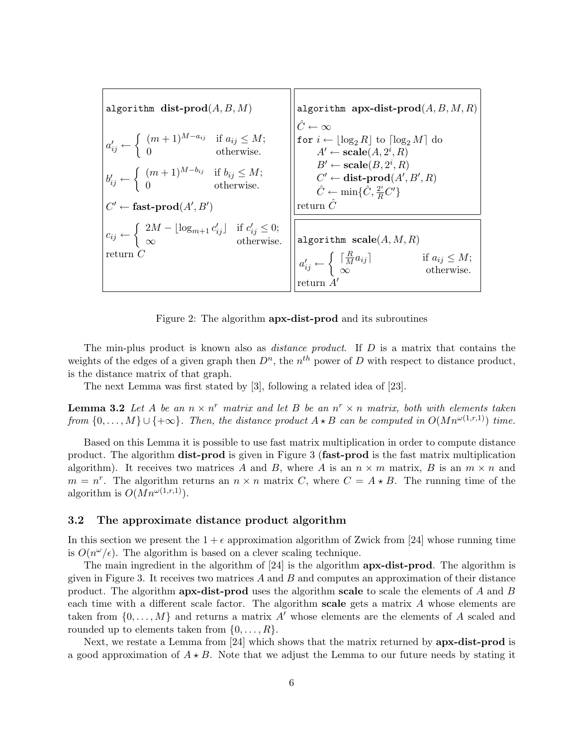algorithm dist-prod $(A, B, M)$  $a'_{ij} \leftarrow$  $\int (m+1)^{M-a_{ij}}$  if  $a_{ij} \leq M$ ; 0 otherwise.  $b'_{ij} \leftarrow$  $\int (m+1)^{M-b_{ij}}$  if  $b_{ij} \leq M$ ; 0 otherwise.  $C' \leftarrow$  fast-prod $(A', B')$  $c_{ij} \leftarrow$ ½  $2M - \lfloor \log_{m+1} c'_{ij} \rfloor$  if  $c'_{ij} \leq 0$ ;  $\infty$  otherwise. return C algorithm apx-dist-prod $(A, B, M, R)$  $\hat{C} \leftarrow \infty$ for  $i \leftarrow \lfloor \log_2 R \rfloor$  to  $\lceil \log_2 M \rceil$  do  $A' \leftarrow \text{scale}(A, 2^i, R)$  $B' \leftarrow \textbf{scale}(B, 2^i, R)$  $C' \leftarrow$  dist-prod $(A', B', R)$  $\hat{C} \leftarrow \min\{\hat{C}, \frac{2^i}{R}C'\}$ return  $\hat{C}$ algorithm  $scale(A, M, R)$  $a'_{ij} \leftarrow \begin{cases} \begin{array}{c} \lceil \frac{R}{M} \rceil \end{array} \\ \infty \end{cases}$ ½  $\frac{R}{M}a_{ij}$  if  $a_{ij} \leq M$ ;  $\infty$  otherwise. return  $A'$ 

Figure 2: The algorithm apx-dist-prod and its subroutines

The min-plus product is known also as *distance product*. If  $D$  is a matrix that contains the weights of the edges of a given graph then  $D^n$ , the  $n^{th}$  power of D with respect to distance product, is the distance matrix of that graph.

The next Lemma was first stated by [3], following a related idea of [23].

**Lemma 3.2** Let A be an  $n \times n^r$  matrix and let B be an  $n^r \times n$  matrix, both with elements taken from  $\{0,\ldots,M\} \cup \{+\infty\}$ . Then, the distance product  $A \star B$  can be computed in  $O(Mn^{\omega(1,r,1)})$  time.

Based on this Lemma it is possible to use fast matrix multiplication in order to compute distance product. The algorithm dist-prod is given in Figure 3 (fast-prod is the fast matrix multiplication algorithm). It receives two matrices A and B, where A is an  $n \times m$  matrix, B is an  $m \times n$  and  $m = n^r$ . The algorithm returns an  $n \times n$  matrix C, where  $C = A \star B$ . The running time of the algorithm is  $O(Mn^{\omega(1,r,1)})$ .

#### 3.2 The approximate distance product algorithm

In this section we present the  $1 + \epsilon$  approximation algorithm of Zwick from [24] whose running time is  $O(n^{\omega}/\epsilon)$ . The algorithm is based on a clever scaling technique.

The main ingredient in the algorithm of  $[24]$  is the algorithm  $apx-dist-prod$ . The algorithm is given in Figure 3. It receives two matrices  $A$  and  $B$  and computes an approximation of their distance product. The algorithm **apx-dist-prod** uses the algorithm **scale** to scale the elements of A and B each time with a different scale factor. The algorithm **scale** gets a matrix  $\vec{A}$  whose elements are taken from  $\{0, \ldots, M\}$  and returns a matrix A' whose elements are the elements of A scaled and rounded up to elements taken from  $\{0, \ldots, R\}$ .

Next, we restate a Lemma from [24] which shows that the matrix returned by apx-dist-prod is a good approximation of  $A \star B$ . Note that we adjust the Lemma to our future needs by stating it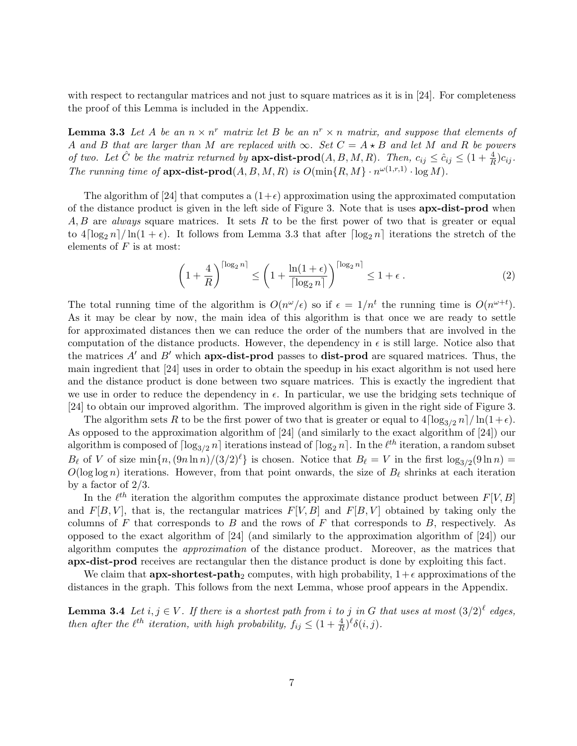with respect to rectangular matrices and not just to square matrices as it is in [24]. For completeness the proof of this Lemma is included in the Appendix.

**Lemma 3.3** Let A be an  $n \times n^r$  matrix let B be an  $n^r \times n$  matrix, and suppose that elements of A and B that are larger than M are replaced with  $\infty$ . Set  $C = A \star B$  and let M and R be powers of two. Let  $\hat{C}$  be the matrix returned by  $\mathbf{apx-dist\text{-}prod}(A, B, M, R)$ . Then,  $c_{ij} \leq \hat{c}_{ij} \leq (1 + \frac{4}{R})c_{ij}$ . The running time of  $apx\text{-dist-prod}(A, B, M, R)$  is  $O(\min\{R, M\} \cdot n^{\omega(1,r,1)} \cdot \log M)$ .

The algorithm of [24] that computes a  $(1+\epsilon)$  approximation using the approximated computation of the distance product is given in the left side of Figure 3. Note that is uses **apx-dist-prod** when A, B are always square matrices. It sets R to be the first power of two that is greater or equal to  $4\lceil \log_2 n \rceil / \ln(1 + \epsilon)$ . It follows from Lemma 3.3 that after  $\lceil \log_2 n \rceil$  iterations the stretch of the elements of  $F$  is at most:

$$
\left(1+\frac{4}{R}\right)^{\lceil \log_2 n \rceil} \le \left(1+\frac{\ln(1+\epsilon)}{\lceil \log_2 n \rceil}\right)^{\lceil \log_2 n \rceil} \le 1+\epsilon.
$$
 (2)

The total running time of the algorithm is  $O(n^{\omega}/\epsilon)$  so if  $\epsilon = 1/n^t$  the running time is  $O(n^{\omega+t})$ . As it may be clear by now, the main idea of this algorithm is that once we are ready to settle for approximated distances then we can reduce the order of the numbers that are involved in the computation of the distance products. However, the dependency in  $\epsilon$  is still large. Notice also that the matrices  $A'$  and  $B'$  which **apx-dist-prod** passes to **dist-prod** are squared matrices. Thus, the main ingredient that [24] uses in order to obtain the speedup in his exact algorithm is not used here and the distance product is done between two square matrices. This is exactly the ingredient that we use in order to reduce the dependency in  $\epsilon$ . In particular, we use the bridging sets technique of [24] to obtain our improved algorithm. The improved algorithm is given in the right side of Figure 3.

The algorithm sets R to be the first power of two that is greater or equal to  $4\lceil \log_{3/2} n \rceil / \ln(1+\epsilon)$ . As opposed to the approximation algorithm of [24] (and similarly to the exact algorithm of [24]) our algorithm is composed of  $\lceil \log_{3/2} n \rceil$  iterations instead of  $\lceil \log_2 n \rceil$ . In the  $\ell^{th}$  iteration, a random subset  $B_\ell$  of V of size  $\min\{n, (9n \ln n)/(3/2)^\ell\}$  is chosen. Notice that  $B_\ell = V$  in the first  $\log_{3/2}(9 \ln n) =$  $O(\log \log n)$  iterations. However, from that point onwards, the size of  $B_\ell$  shrinks at each iteration by a factor of 2/3.

In the  $\ell^{th}$  iteration the algorithm computes the approximate distance product between  $F[V, B]$ and  $F[B, V]$ , that is, the rectangular matrices  $F[V, B]$  and  $F[B, V]$  obtained by taking only the columns of  $F$  that corresponds to  $B$  and the rows of  $F$  that corresponds to  $B$ , respectively. As opposed to the exact algorithm of [24] (and similarly to the approximation algorithm of [24]) our algorithm computes the approximation of the distance product. Moreover, as the matrices that apx-dist-prod receives are rectangular then the distance product is done by exploiting this fact.

We claim that **apx-shortest-path**<sub>2</sub> computes, with high probability,  $1+\epsilon$  approximations of the distances in the graph. This follows from the next Lemma, whose proof appears in the Appendix.

**Lemma 3.4** Let  $i, j \in V$ . If there is a shortest path from i to j in G that uses at most  $(3/2)^{\ell}$  edges, then after the  $\ell^{th}$  iteration, with high probability,  $f_{ij} \leq (1 + \frac{4}{R})^{\ell} \delta(i, j)$ .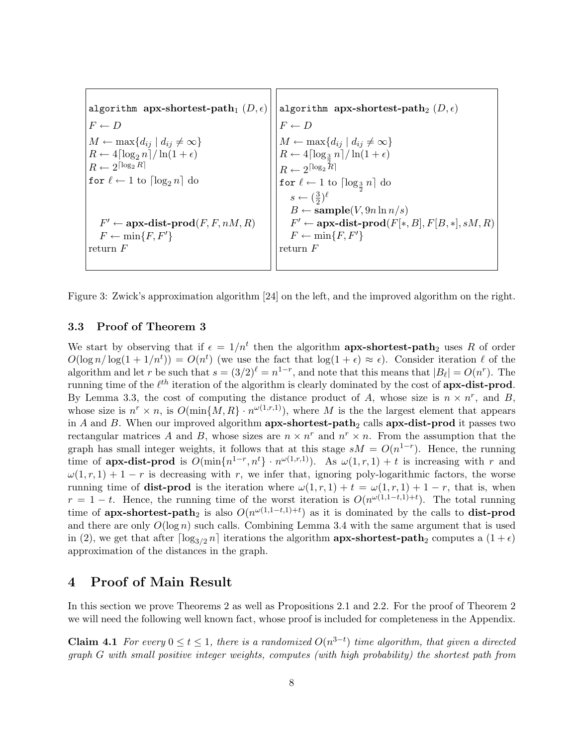algorithm apx-shortest-path<sub>1</sub>  $(D, \epsilon)$  $F \leftarrow D$  $M \leftarrow \max\{d_{ij} \mid d_{ij} \neq \infty\}$  $R \leftarrow 4 \lceil \log_2 n \rceil / \ln(1 + \epsilon)$  $R \leftarrow 2^{\lceil \log_2 R \rceil}$ for  $\ell \leftarrow 1$  to  $\lceil \log_2 n \rceil$  do  $F' \leftarrow$  apx-dist-prod $(F, F, nM, R)$  $F \leftarrow \min\{F, F'\}$ return F algorithm apx-shortest-path<sub>2</sub>  $(D, \epsilon)$  $F \leftarrow D$  $M \leftarrow \max\{d_{ij} \mid d_{ij} \neq \infty\}$  $R \leftarrow 4 \lceil \log_{\frac{3}{2}} n \rceil / \ln(1+\epsilon)$  $R \leftarrow 2^{\lceil \log_2 R \rceil}$ for  $\ell \leftarrow 1$  to  $\lceil \log_{\frac{3}{2}} n \rceil$  do  $s \leftarrow \left(\frac{3}{2}\right)$  $(\frac{3}{2})^{\ell}$  $B \leftarrow$  sample(V, 9n ln n/s)  $F' \leftarrow$  apx-dist-prod( $F[*, B], F[B, *], sM, R$ )  $F \leftarrow \min\{F, F'\}$ return F

Figure 3: Zwick's approximation algorithm [24] on the left, and the improved algorithm on the right.

### 3.3 Proof of Theorem 3

We start by observing that if  $\epsilon = 1/n^t$  then the algorithm **apx-shortest-path**<sub>2</sub> uses R of order  $O(\log n/\log(1+1/n^t)) = O(n^t)$  (we use the fact that  $\log(1+\epsilon) \approx \epsilon$ ). Consider iteration  $\ell$  of the algorithm and let r be such that  $s = (3/2)^{\ell} = n^{1-r}$ , and note that this means that  $|B_{\ell}| = O(n^{r})$ . The running time of the  $\ell^{th}$  iteration of the algorithm is clearly dominated by the cost of **apx-dist-prod.** By Lemma 3.3, the cost of computing the distance product of A, whose size is  $n \times n^r$ , and B, whose size is  $n^r \times n$ , is  $O(\min\{M, R\} \cdot n^{\omega(1,r,1)})$ , where M is the the largest element that appears in A and B. When our improved algorithm  $apx\text{-}shortest\text{-}path_2$  calls  $apx\text{-}dist\text{-}prod$  it passes two rectangular matrices A and B, whose sizes are  $n \times n^r$  and  $n^r \times n$ . From the assumption that the graph has small integer weights, it follows that at this stage  $sM = O(n^{1-r})$ . Hence, the running time of **apx-dist-prod** is  $O(\min\{n^{1-r}, n^t\} \cdot n^{\omega(1,r,1)})$ . As  $\omega(1,r,1) + t$  is increasing with r and  $\omega(1, r, 1) + 1 - r$  is decreasing with r, we infer that, ignoring poly-logarithmic factors, the worse running time of **dist-prod** is the iteration where  $\omega(1,r,1) + t = \omega(1,r,1) + 1 - r$ , that is, when  $r = 1 - t$ . Hence, the running time of the worst iteration is  $O(n^{\omega(1,1-t,1)+t})$ . The total running time of **apx-shortest-path**<sub>2</sub> is also  $O(n^{\omega(1,1-t,1)+t})$  as it is dominated by the calls to **dist-prod** and there are only  $O(\log n)$  such calls. Combining Lemma 3.4 with the same argument that is used in (2), we get that after  $\lceil \log_{3/2} n \rceil$  iterations the algorithm **apx-shortest-path**<sub>2</sub> computes a  $(1 + \epsilon)$ approximation of the distances in the graph.

## 4 Proof of Main Result

In this section we prove Theorems 2 as well as Propositions 2.1 and 2.2. For the proof of Theorem 2 we will need the following well known fact, whose proof is included for completeness in the Appendix.

**Claim 4.1** For every  $0 \le t \le 1$ , there is a randomized  $O(n^{3-t})$  time algorithm, that given a directed graph G with small positive integer weights, computes (with high probability) the shortest path from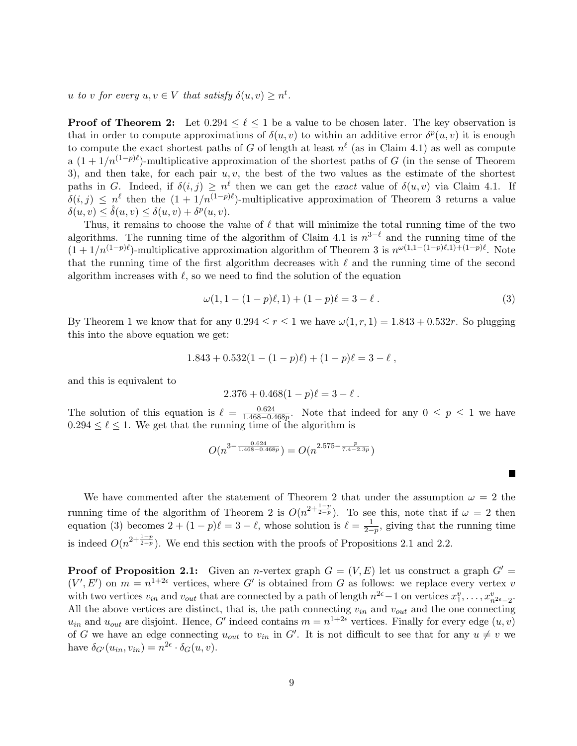u to v for every  $u, v \in V$  that satisfy  $\delta(u, v) \geq n^t$ .

**Proof of Theorem 2:** Let  $0.294 \leq \ell \leq 1$  be a value to be chosen later. The key observation is that in order to compute approximations of  $\delta(u, v)$  to within an additive error  $\delta^p(u, v)$  it is enough to compute the exact shortest paths of G of length at least  $n^{\ell}$  (as in Claim 4.1) as well as compute a  $(1 + 1/n^{(1-p)\ell})$ -multiplicative approximation of the shortest paths of G (in the sense of Theorem 3), and then take, for each pair  $u, v$ , the best of the two values as the estimate of the shortest paths in G. Indeed, if  $\delta(i, j) \geq n^{\ell}$  then we can get the *exact* value of  $\delta(u, v)$  via Claim 4.1. If  $\delta(i,j) \leq n^{\ell}$  then the  $(1 + 1/n^{(1-p)\ell})$ -multiplicative approximation of Theorem 3 returns a value  $\delta(u, v) \leq \hat{\delta}(u, v) \leq \delta(u, v) + \delta^p(u, v).$ 

Thus, it remains to choose the value of  $\ell$  that will minimize the total running time of the two algorithms. The running time of the algorithm of Claim 4.1 is  $n^{3-\ell}$  and the running time of the  $(1 + 1/n^{(1-p)\ell})$ -multiplicative approximation algorithm of Theorem 3 is  $n^{\omega(1,1-(1-p)\ell,1)+(1-p)\ell}$ . Note that the running time of the first algorithm decreases with  $\ell$  and the running time of the second algorithm increases with  $\ell$ , so we need to find the solution of the equation

$$
\omega(1, 1 - (1 - p)\ell, 1) + (1 - p)\ell = 3 - \ell.
$$
\n(3)

 $\blacksquare$ 

By Theorem 1 we know that for any  $0.294 \le r \le 1$  we have  $\omega(1, r, 1) = 1.843 + 0.532r$ . So plugging this into the above equation we get:

$$
1.843 + 0.532(1 - (1 - p)\ell) + (1 - p)\ell = 3 - \ell,
$$

and this is equivalent to

$$
2.376 + 0.468(1 - p)\ell = 3 - \ell.
$$

The solution of this equation is  $\ell = \frac{0.624}{1.468-0.64}$  $\frac{0.624}{1.468-0.468p}$ . Note that indeed for any  $0 \leq p \leq 1$  we have  $0.294 \leq \ell \leq 1$ . We get that the running time of the algorithm is

$$
O(n^{3-\frac{0.624}{1.468-0.468p}}) = O(n^{2.575-\frac{p}{7.4-2.3p}})
$$

We have commented after the statement of Theorem 2 that under the assumption  $\omega = 2$  the running time of the algorithm of Theorem 2 is  $O(n^{2+\frac{1-p}{2-p}})$ . To see this, note that if  $\omega = 2$  then equation (3) becomes  $2 + (1 - p)\ell = 3 - \ell$ , whose solution is  $\ell = \frac{1}{2 - \ell}$  $\frac{1}{2-p}$ , giving that the running time is indeed  $O(n^{2+\frac{1-p}{2-p}})$ . We end this section with the proofs of Propositions 2.1 and 2.2.

**Proof of Proposition 2.1:** Given an *n*-vertex graph  $G = (V, E)$  let us construct a graph  $G' =$  $(V', E')$  on  $m = n^{1+2\epsilon}$  vertices, where G' is obtained from G as follows: we replace every vertex v with two vertices  $v_{in}$  and  $v_{out}$  that are connected by a path of length  $n^{2\epsilon}-1$  on vertices  $x_1^v, \ldots, x_{n^{2\epsilon}-2}^v$ . All the above vertices are distinct, that is, the path connecting  $v_{in}$  and  $v_{out}$  and the one connecting  $u_{in}$  and  $u_{out}$  are disjoint. Hence, G' indeed contains  $m = n^{1+2\epsilon}$  vertices. Finally for every edge  $(u, v)$ of G we have an edge connecting  $u_{out}$  to  $v_{in}$  in G'. It is not difficult to see that for any  $u \neq v$  we have  $\delta_{G'}(u_{in}, v_{in}) = n^{2\epsilon} \cdot \delta_G(u, v)$ .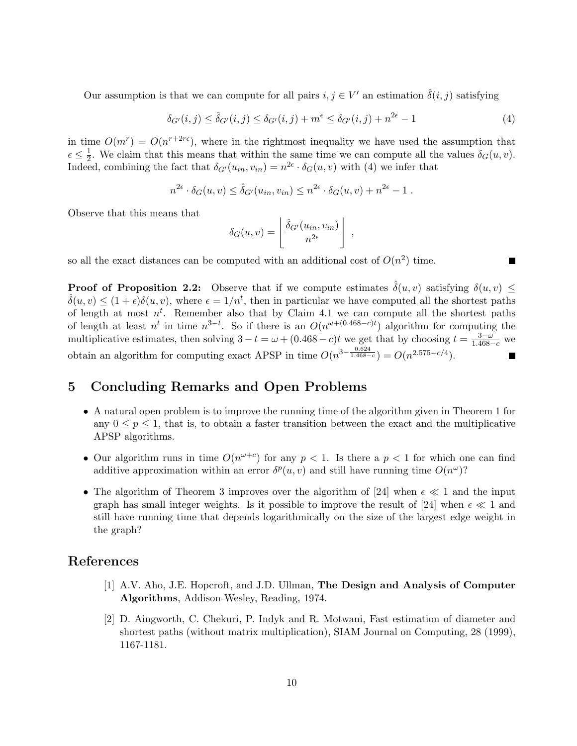Our assumption is that we can compute for all pairs  $i, j \in V'$  an estimation  $\hat{\delta}(i, j)$  satisfying

$$
\delta_{G'}(i,j) \le \hat{\delta}_{G'}(i,j) \le \delta_{G'}(i,j) + m^{\epsilon} \le \delta_{G'}(i,j) + n^{2\epsilon} - 1 \tag{4}
$$

in time  $O(m^r) = O(n^{r+2r\epsilon})$ , where in the rightmost inequality we have used the assumption that  $\epsilon \leq \frac{1}{2}$  $\frac{1}{2}$ . We claim that this means that within the same time we can compute all the values  $\delta_G(u, v)$ . Indeed, combining the fact that  $\delta_{G'}(u_{in}, v_{in}) = n^{2\epsilon} \cdot \delta_G(u, v)$  with (4) we infer that

$$
n^{2\epsilon} \cdot \delta_G(u,v) \leq \hat{\delta}_{G'}(u_{in},v_{in}) \leq n^{2\epsilon} \cdot \delta_G(u,v) + n^{2\epsilon} - 1.
$$

Observe that this means that

$$
\delta_G(u,v) = \left\lfloor \frac{\hat{\delta}_{G'}(u_{in}, v_{in})}{n^{2\epsilon}} \right\rfloor ,
$$

so all the exact distances can be computed with an additional cost of  $O(n^2)$  time.

**Proof of Proposition 2.2:** Observe that if we compute estimates  $\hat{\delta}(u, v)$  satisfying  $\delta(u, v) \leq$  $\hat{\delta}(u, v) \leq (1 + \epsilon)\delta(u, v)$ , where  $\epsilon = 1/n^t$ , then in particular we have computed all the shortest paths of length at most  $n^t$ . Remember also that by Claim 4.1 we can compute all the shortest paths of length at least  $n^t$  in time  $n^{3-t}$ . So if there is an  $O(n^{\omega+(0.468-c)t})$  algorithm for computing the multiplicative estimates, then solving  $3-t=\omega+(0.468-c)t$  we get that by choosing  $t=\frac{3-\omega}{1.468-c}$  we obtain an algorithm for computing exact APSP in time  $O(n^{3-\frac{0.624}{1.468-c}}) = O(n^{2.575-c/4})$ .

# 5 Concluding Remarks and Open Problems

- A natural open problem is to improve the running time of the algorithm given in Theorem 1 for any  $0 \leq p \leq 1$ , that is, to obtain a faster transition between the exact and the multiplicative APSP algorithms.
- Our algorithm runs in time  $O(n^{\omega+c})$  for any  $p < 1$ . Is there a  $p < 1$  for which one can find additive approximation within an error  $\delta^p(u, v)$  and still have running time  $O(n^{\omega})$ ?
- The algorithm of Theorem 3 improves over the algorithm of [24] when  $\epsilon \ll 1$  and the input graph has small integer weights. Is it possible to improve the result of [24] when  $\epsilon \ll 1$  and still have running time that depends logarithmically on the size of the largest edge weight in the graph?

### References

- [1] A.V. Aho, J.E. Hopcroft, and J.D. Ullman, The Design and Analysis of Computer Algorithms, Addison-Wesley, Reading, 1974.
- [2] D. Aingworth, C. Chekuri, P. Indyk and R. Motwani, Fast estimation of diameter and shortest paths (without matrix multiplication), SIAM Journal on Computing, 28 (1999), 1167-1181.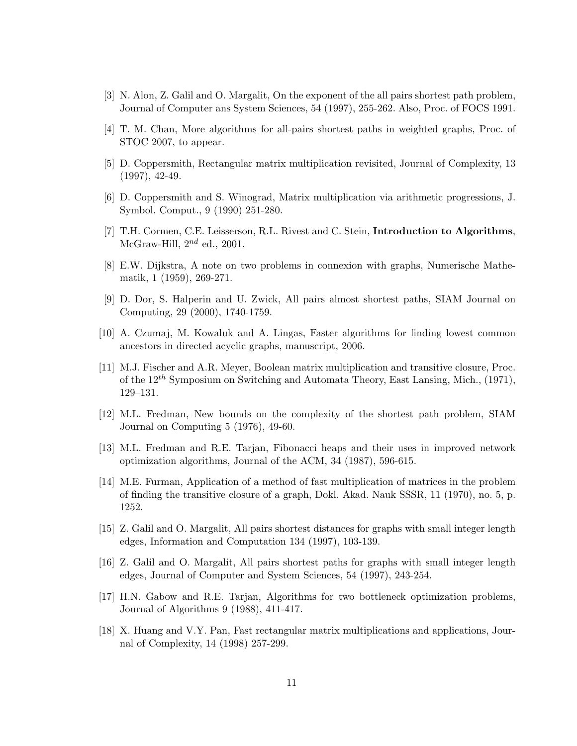- [3] N. Alon, Z. Galil and O. Margalit, On the exponent of the all pairs shortest path problem, Journal of Computer ans System Sciences, 54 (1997), 255-262. Also, Proc. of FOCS 1991.
- [4] T. M. Chan, More algorithms for all-pairs shortest paths in weighted graphs, Proc. of STOC 2007, to appear.
- [5] D. Coppersmith, Rectangular matrix multiplication revisited, Journal of Complexity, 13 (1997), 42-49.
- [6] D. Coppersmith and S. Winograd, Matrix multiplication via arithmetic progressions, J. Symbol. Comput., 9 (1990) 251-280.
- [7] T.H. Cormen, C.E. Leisserson, R.L. Rivest and C. Stein, Introduction to Algorithms, McGraw-Hill,  $2^{nd}$  ed., 2001.
- [8] E.W. Dijkstra, A note on two problems in connexion with graphs, Numerische Mathematik, 1 (1959), 269-271.
- [9] D. Dor, S. Halperin and U. Zwick, All pairs almost shortest paths, SIAM Journal on Computing, 29 (2000), 1740-1759.
- [10] A. Czumaj, M. Kowaluk and A. Lingas, Faster algorithms for finding lowest common ancestors in directed acyclic graphs, manuscript, 2006.
- [11] M.J. Fischer and A.R. Meyer, Boolean matrix multiplication and transitive closure, Proc. of the  $12^{th}$  Symposium on Switching and Automata Theory, East Lansing, Mich., (1971), 129–131.
- [12] M.L. Fredman, New bounds on the complexity of the shortest path problem, SIAM Journal on Computing 5 (1976), 49-60.
- [13] M.L. Fredman and R.E. Tarjan, Fibonacci heaps and their uses in improved network optimization algorithms, Journal of the ACM, 34 (1987), 596-615.
- [14] M.E. Furman, Application of a method of fast multiplication of matrices in the problem of finding the transitive closure of a graph, Dokl. Akad. Nauk SSSR, 11 (1970), no. 5, p. 1252.
- [15] Z. Galil and O. Margalit, All pairs shortest distances for graphs with small integer length edges, Information and Computation 134 (1997), 103-139.
- [16] Z. Galil and O. Margalit, All pairs shortest paths for graphs with small integer length edges, Journal of Computer and System Sciences, 54 (1997), 243-254.
- [17] H.N. Gabow and R.E. Tarjan, Algorithms for two bottleneck optimization problems, Journal of Algorithms 9 (1988), 411-417.
- [18] X. Huang and V.Y. Pan, Fast rectangular matrix multiplications and applications, Journal of Complexity, 14 (1998) 257-299.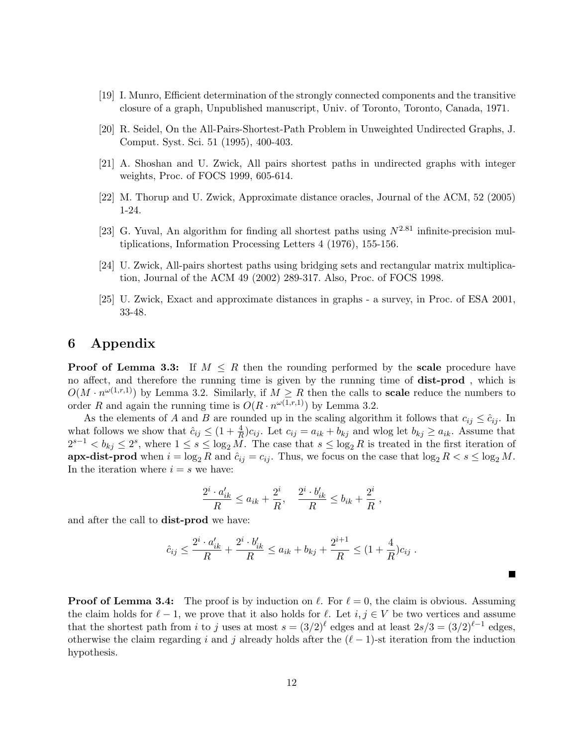- [19] I. Munro, Efficient determination of the strongly connected components and the transitive closure of a graph, Unpublished manuscript, Univ. of Toronto, Toronto, Canada, 1971.
- [20] R. Seidel, On the All-Pairs-Shortest-Path Problem in Unweighted Undirected Graphs, J. Comput. Syst. Sci. 51 (1995), 400-403.
- [21] A. Shoshan and U. Zwick, All pairs shortest paths in undirected graphs with integer weights, Proc. of FOCS 1999, 605-614.
- [22] M. Thorup and U. Zwick, Approximate distance oracles, Journal of the ACM, 52 (2005) 1-24.
- [23] G. Yuval, An algorithm for finding all shortest paths using  $N^{2.81}$  infinite-precision multiplications, Information Processing Letters 4 (1976), 155-156.
- [24] U. Zwick, All-pairs shortest paths using bridging sets and rectangular matrix multiplication, Journal of the ACM 49 (2002) 289-317. Also, Proc. of FOCS 1998.
- [25] U. Zwick, Exact and approximate distances in graphs a survey, in Proc. of ESA 2001, 33-48.

## 6 Appendix

**Proof of Lemma 3.3:** If  $M \leq R$  then the rounding performed by the scale procedure have no affect, and therefore the running time is given by the running time of dist-prod , which is  $O(M \cdot n^{\omega(1,r,1)})$  by Lemma 3.2. Similarly, if  $M \geq R$  then the calls to **scale** reduce the numbers to order R and again the running time is  $O(R \cdot n^{\omega(1,r,1)})$  by Lemma 3.2.

As the elements of A and B are rounded up in the scaling algorithm it follows that  $c_{ij} \leq \hat{c}_{ij}$ . In what follows we show that  $\hat{c}_{ij} \leq (1 + \frac{4}{R})c_{ij}$ . Let  $c_{ij} = a_{ik} + b_{kj}$  and wlog let  $b_{kj} \geq a_{ik}$ . Assume that  $2^{s-1} < b_{kj} \leq 2^s$ , where  $1 \leq s \leq \log_2 M$ . The case that  $s \leq \log_2 R$  is treated in the first iteration of apx-dist-prod when  $i = \log_2 R$  and  $\hat{c}_{ij} = c_{ij}$ . Thus, we focus on the case that  $\log_2 R < s \le \log_2 M$ . In the iteration where  $i = s$  we have:

$$
\frac{2^i \cdot a'_{ik}}{R} \le a_{ik} + \frac{2^i}{R}, \quad \frac{2^i \cdot b'_{ik}}{R} \le b_{ik} + \frac{2^i}{R},
$$

and after the call to dist-prod we have:

$$
\hat{c}_{ij} \le \frac{2^i \cdot a'_{ik}}{R} + \frac{2^i \cdot b'_{ik}}{R} \le a_{ik} + b_{kj} + \frac{2^{i+1}}{R} \le (1 + \frac{4}{R})c_{ij} .
$$

П

**Proof of Lemma 3.4:** The proof is by induction on  $\ell$ . For  $\ell = 0$ , the claim is obvious. Assuming the claim holds for  $\ell - 1$ , we prove that it also holds for  $\ell$ . Let  $i, j \in V$  be two vertices and assume that the shortest path from i to j uses at most  $s = (3/2)^{\ell}$  edges and at least  $2s/3 = (3/2)^{\ell-1}$  edges, otherwise the claim regarding i and j already holds after the  $(\ell - 1)$ -st iteration from the induction hypothesis.